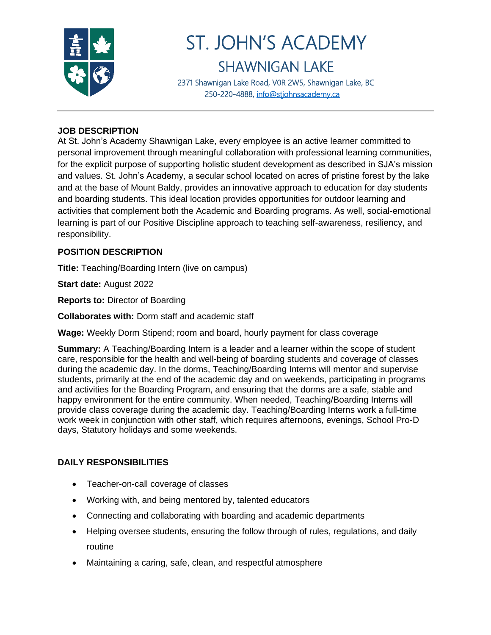

# ST. JOHN'S ACADEMY SHAWNIGAN LAKE

2371 Shawnigan Lake Road, V0R 2W5, Shawnigan Lake, BC 250-220-4888, [info@stjohnsacademy.ca](mailto:info@stjohnsacademy.ca)

## **JOB DESCRIPTION**

At St. John's Academy Shawnigan Lake, every employee is an active learner committed to personal improvement through meaningful collaboration with professional learning communities, for the explicit purpose of supporting holistic student development as described in SJA's mission and values. St. John's Academy, a secular school located on acres of pristine forest by the lake and at the base of Mount Baldy, provides an innovative approach to education for day students and boarding students. This ideal location provides opportunities for outdoor learning and activities that complement both the Academic and Boarding programs. As well, social-emotional learning is part of our Positive Discipline approach to teaching self-awareness, resiliency, and responsibility.

### **POSITION DESCRIPTION**

**Title:** Teaching/Boarding Intern (live on campus)

**Start date:** August 2022

**Reports to:** Director of Boarding

**Collaborates with:** Dorm staff and academic staff

**Wage:** Weekly Dorm Stipend; room and board, hourly payment for class coverage

**Summary:** A Teaching/Boarding Intern is a leader and a learner within the scope of student care, responsible for the health and well-being of boarding students and coverage of classes during the academic day. In the dorms, Teaching/Boarding Interns will mentor and supervise students, primarily at the end of the academic day and on weekends, participating in programs and activities for the Boarding Program, and ensuring that the dorms are a safe, stable and happy environment for the entire community. When needed, Teaching/Boarding Interns will provide class coverage during the academic day. Teaching/Boarding Interns work a full-time work week in conjunction with other staff, which requires afternoons, evenings, School Pro-D days, Statutory holidays and some weekends.

# **DAILY RESPONSIBILITIES**

- Teacher-on-call coverage of classes
- Working with, and being mentored by, talented educators
- Connecting and collaborating with boarding and academic departments
- Helping oversee students, ensuring the follow through of rules, regulations, and daily routine
- Maintaining a caring, safe, clean, and respectful atmosphere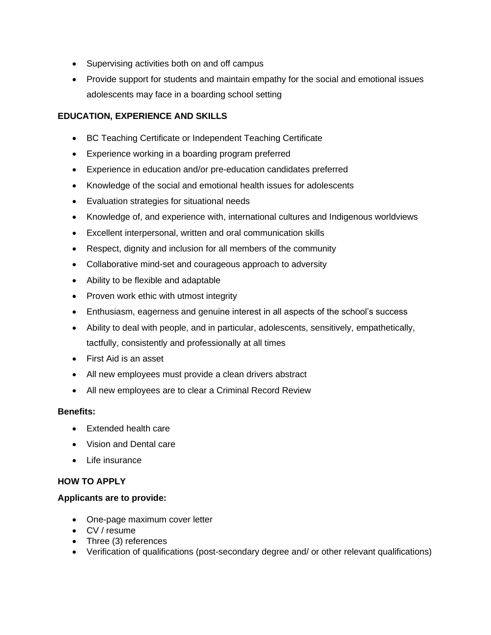- Supervising activities both on and off campus
- Provide support for students and maintain empathy for the social and emotional issues adolescents may face in a boarding school setting

# **EDUCATION, EXPERIENCE AND SKILLS**

- BC Teaching Certificate or Independent Teaching Certificate
- Experience working in a boarding program preferred
- Experience in education and/or pre-education candidates preferred
- Knowledge of the social and emotional health issues for adolescents
- Evaluation strategies for situational needs
- Knowledge of, and experience with, international cultures and Indigenous worldviews
- Excellent interpersonal, written and oral communication skills
- Respect, dignity and inclusion for all members of the community
- Collaborative mind-set and courageous approach to adversity
- Ability to be flexible and adaptable
- Proven work ethic with utmost integrity
- Enthusiasm, eagerness and genuine interest in all aspects of the school's success
- Ability to deal with people, and in particular, adolescents, sensitively, empathetically, tactfully, consistently and professionally at all times
- First Aid is an asset
- All new employees must provide a clean drivers abstract
- All new employees are to clear a Criminal Record Review

#### **Benefits:**

- Extended health care
- Vision and Dental care
- Life insurance

#### **HOW TO APPLY**

#### **Applicants are to provide:**

- One-page maximum cover letter
- CV / resume
- Three (3) references
- Verification of qualifications (post-secondary degree and/ or other relevant qualifications)